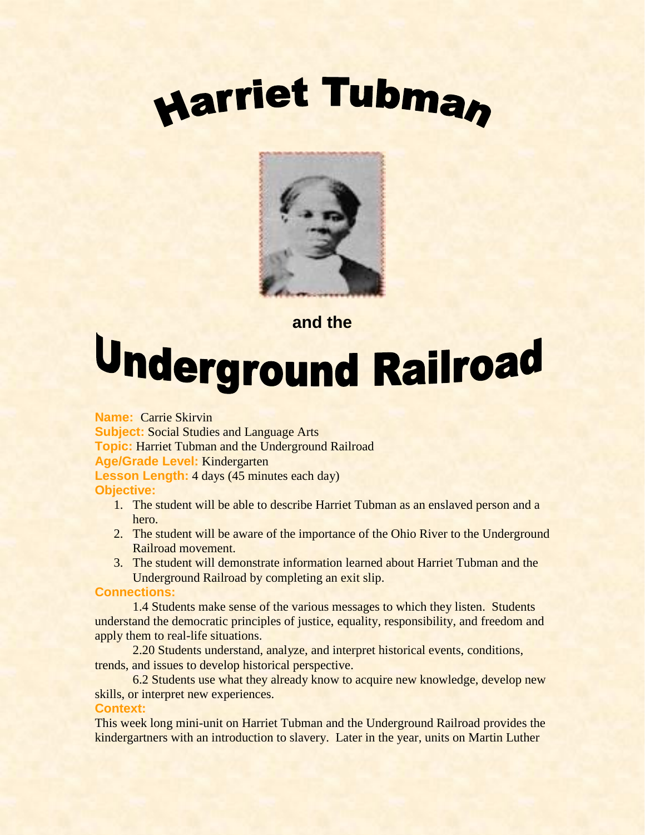



## **and the**

# Underground Railroad

**Name:** Carrie Skirvin **Subject:** Social Studies and Language Arts **Topic:** Harriet Tubman and the Underground Railroad **Age/Grade Level:** Kindergarten **Lesson Length:** 4 days (45 minutes each day) **Objective:**

- 1. The student will be able to describe Harriet Tubman as an enslaved person and a hero.
- 2. The student will be aware of the importance of the Ohio River to the Underground Railroad movement.
- 3. The student will demonstrate information learned about Harriet Tubman and the Underground Railroad by completing an exit slip.

### **Connections:**

1.4 Students make sense of the various messages to which they listen. Students understand the democratic principles of justice, equality, responsibility, and freedom and apply them to real-life situations.

2.20 Students understand, analyze, and interpret historical events, conditions, trends, and issues to develop historical perspective.

6.2 Students use what they already know to acquire new knowledge, develop new skills, or interpret new experiences.

### **Context:**

This week long mini-unit on Harriet Tubman and the Underground Railroad provides the kindergartners with an introduction to slavery. Later in the year, units on Martin Luther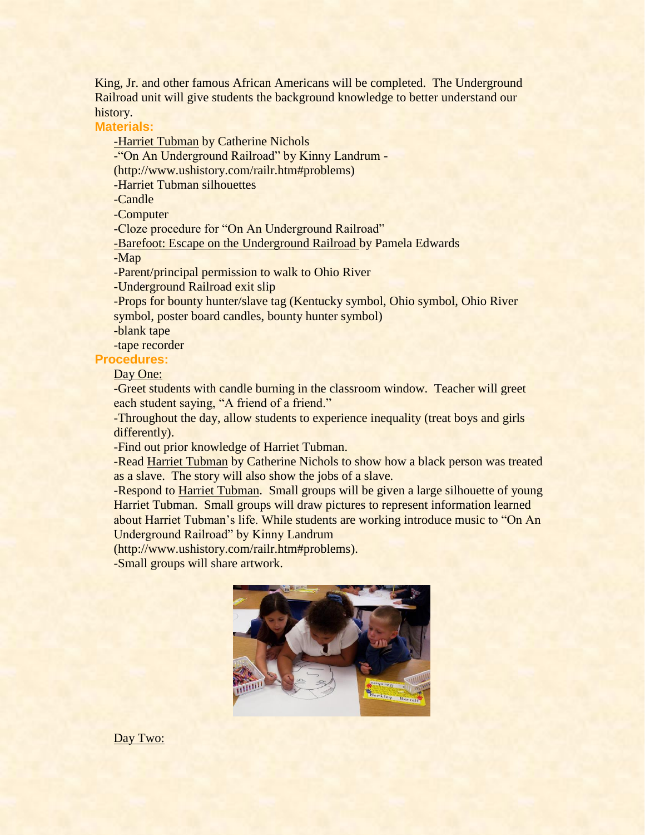King, Jr. and other famous African Americans will be completed. The Underground Railroad unit will give students the background knowledge to better understand our history.

**Materials:**

-Harriet Tubman by Catherine Nichols

-"On An Underground Railroad" by Kinny Landrum -

(http://www.ushistory.com/railr.htm#problems)

-Harriet Tubman silhouettes

-Candle

-Computer

-Cloze procedure for "On An Underground Railroad"

-Barefoot: Escape on the Underground Railroad by Pamela Edwards

-Map

-Parent/principal permission to walk to Ohio River

-Underground Railroad exit slip

-Props for bounty hunter/slave tag (Kentucky symbol, Ohio symbol, Ohio River symbol, poster board candles, bounty hunter symbol)

-blank tape

-tape recorder

**Procedures:**

Day One:

-Greet students with candle burning in the classroom window. Teacher will greet each student saying, "A friend of a friend."

-Throughout the day, allow students to experience inequality (treat boys and girls differently).

-Find out prior knowledge of Harriet Tubman.

-Read Harriet Tubman by Catherine Nichols to show how a black person was treated as a slave. The story will also show the jobs of a slave.

-Respond to Harriet Tubman. Small groups will be given a large silhouette of young Harriet Tubman. Small groups will draw pictures to represent information learned about Harriet Tubman's life. While students are working introduce music to "On An Underground Railroad" by Kinny Landrum

(http://www.ushistory.com/railr.htm#problems).

-Small groups will share artwork.



Day Two: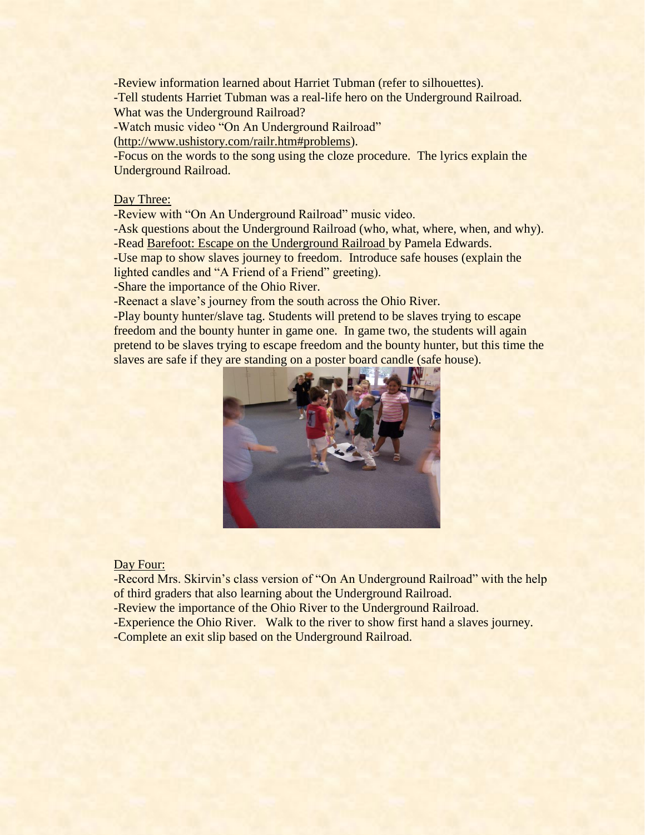-Review information learned about Harriet Tubman (refer to silhouettes). -Tell students Harriet Tubman was a real-life hero on the Underground Railroad. What was the Underground Railroad?

-Watch music video "On An Underground Railroad"

[\(http://www.ushistory.com/railr.htm#problems\)](http://www.ushistory.com/railr.htm#problems).

-Focus on the words to the song using the cloze procedure. The lyrics explain the Underground Railroad.

#### Day Three:

-Review with "On An Underground Railroad" music video.

-Ask questions about the Underground Railroad (who, what, where, when, and why). -Read Barefoot: Escape on the Underground Railroad by Pamela Edwards.

-Use map to show slaves journey to freedom. Introduce safe houses (explain the lighted candles and "A Friend of a Friend" greeting).

-Share the importance of the Ohio River.

-Reenact a slave's journey from the south across the Ohio River.

-Play bounty hunter/slave tag. Students will pretend to be slaves trying to escape freedom and the bounty hunter in game one. In game two, the students will again pretend to be slaves trying to escape freedom and the bounty hunter, but this time the slaves are safe if they are standing on a poster board candle (safe house).



#### Day Four:

-Record Mrs. Skirvin's class version of "On An Underground Railroad" with the help of third graders that also learning about the Underground Railroad.

-Review the importance of the Ohio River to the Underground Railroad.

-Experience the Ohio River. Walk to the river to show first hand a slaves journey.

-Complete an exit slip based on the Underground Railroad.